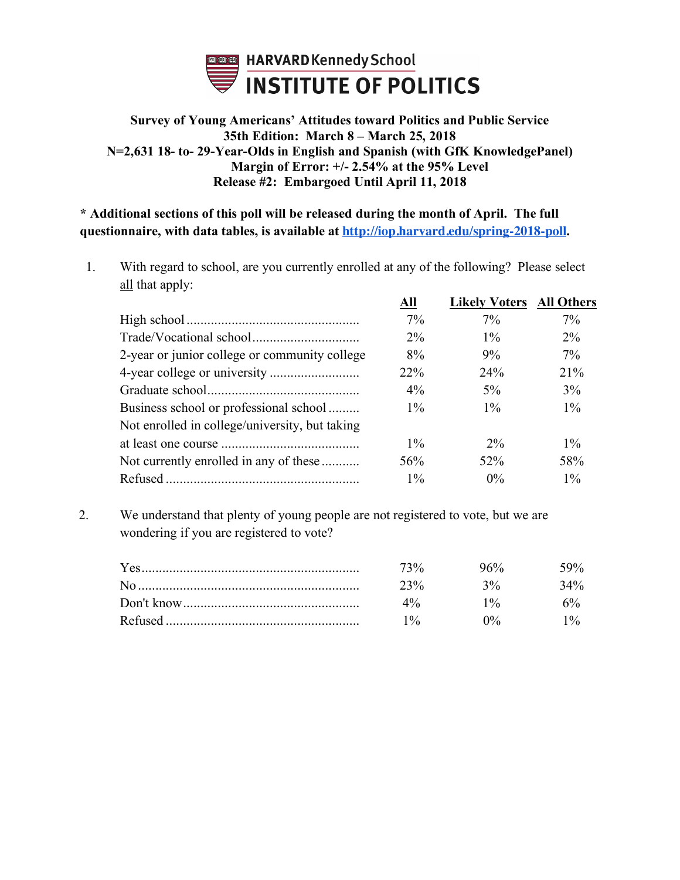

### **Survey of Young Americans' Attitudes toward Politics and Public Service 35th Edition: March 8 – March 25, 2018 N=2,631 18- to- 29-Year-Olds in English and Spanish (with GfK KnowledgePanel) Margin of Error: +/- 2.54% at the 95% Level Release #2: Embargoed Until April 11, 2018**

**\* Additional sections of this poll will be released during the month of April. The full questionnaire, with data tables, is available at http://iop.harvard.edu/spring-2018-poll.**

1. With regard to school, are you currently enrolled at any of the following? Please select all that apply: **All Likely Voters All Others**

| All        | Likely Voters | <b>All Others</b> |
|------------|---------------|-------------------|
| $7\%$      | $7\%$         | $7\%$             |
| $2\%$      | $1\%$         | $2\%$             |
| 8%         | 9%            | $7\%$             |
| <b>22%</b> | 24%           | 21%               |
| $4\%$      | $5\%$         | 3%                |
| $1\%$      | $1\%$         | $1\%$             |
|            |               |                   |
| $1\%$      | $2\%$         | $1\%$             |
| 56%        | $52\%$        | 58%               |
| $1\%$      | $0\%$         | $1\%$             |
|            |               |                   |

2. We understand that plenty of young people are not registered to vote, but we are wondering if you are registered to vote?

| 73%    | $96\%$ | 59%    |
|--------|--------|--------|
| $23\%$ | $3\%$  | $34\%$ |
| $4\%$  | $1\%$  | 6% ነ   |
| 10/2   | $0\%$  |        |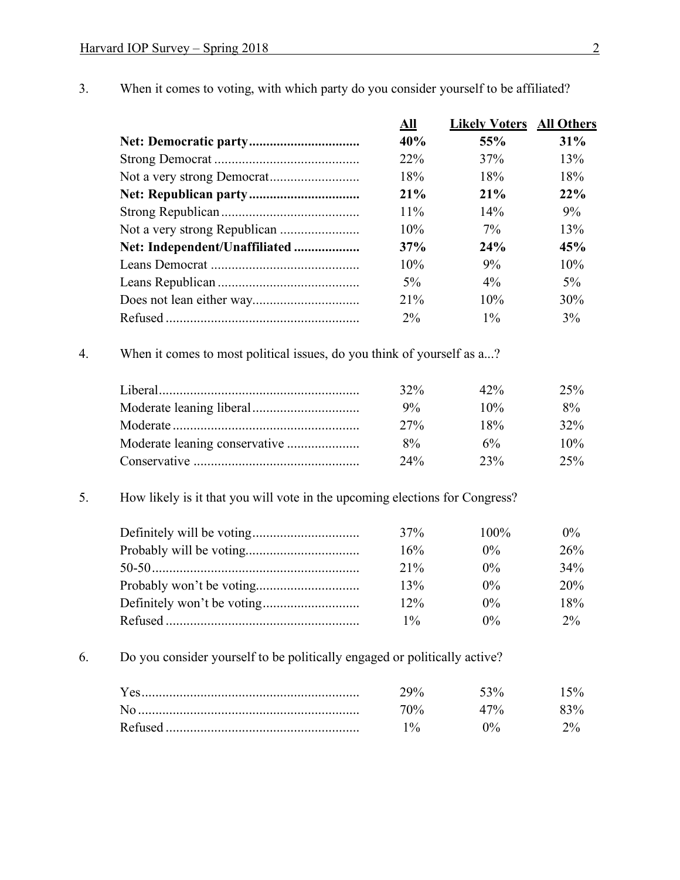- **All Likely Voters All Others Net: Democratic party................................ 40% 55% 31%** Strong Democrat .......................................... 22% 37% 13% Not a very strong Democrat.......................... 18% 18% 18% **Net: Republican party................................ 21% 21% 22%** Strong Republican........................................ 11% 14% 9% Not a very strong Republican ....................... 10% 7% 13% **Net: Independent/Unaffiliated ................... 37% 24% 45%** Leans Democrat ........................................... 10% 9% 10% Leans Republican ......................................... 5% 4% 5% Does not lean either way............................... 21% 10% 30% Refused ........................................................ 2% 1% 3% 4. When it comes to most political issues, do you think of yourself as a...? Liberal.......................................................... 32% 42% 25% Moderate leaning liberal............................... 9% 10% 8% Moderate ...................................................... 27% 18% 32% Moderate leaning conservative ..................... 8% 6% 10% Conservative ................................................ 24% 23% 25% 5. How likely is it that you will vote in the upcoming elections for Congress? Definitely will be voting............................... 37% 100% 0% Probably will be voting................................. 16% 0% 26% 50-50............................................................ 21% 0% 34% Probably won't be voting.............................. 13% 0% 20% Definitely won't be voting............................ 12% 0% 18% Refused ........................................................ 1% 0% 2% 6. Do you consider yourself to be politically engaged or politically active? Yes............................................................... 29% 53% 15% No ................................................................ 70% 47% 83% Refused ........................................................ 1% 0% 2%
- 3. When it comes to voting, with which party do you consider yourself to be affiliated?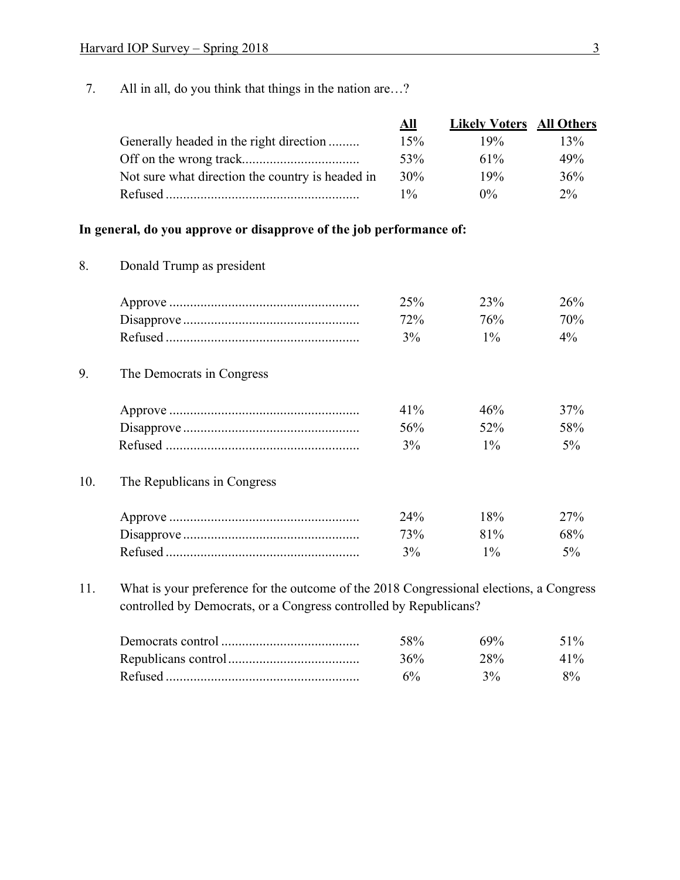7. All in all, do you think that things in the nation are…?

|                                                                                                                 | All    | <b>Likely Voters</b> All Others |       |
|-----------------------------------------------------------------------------------------------------------------|--------|---------------------------------|-------|
| Generally headed in the right direction                                                                         | 15%    | 19%                             | 13%   |
|                                                                                                                 | 53%    | $61\%$                          | 49%   |
| Not sure what direction the country is headed in                                                                | $30\%$ | 19%                             | 36%   |
| Refused and the contract of the contract of the contract of the contract of the contract of the contract of the | $1\%$  | $0\%$                           | $2\%$ |

### **In general, do you approve or disapprove of the job performance of:**

8. Donald Trump as president

|           | 23%  | 26%    |
|-----------|------|--------|
|           | 76%  | $10\%$ |
| $v_{0/2}$ | 10/2 |        |

9. The Democrats in Congress

| $41\%$ | $46\%$ | 37% |
|--------|--------|-----|
| $56\%$ | $52\%$ | 58% |
|        | 10/2   |     |

### 10. The Republicans in Congress

| $74\%$ | $8\%$  | $77\%$ |
|--------|--------|--------|
|        | $81\%$ | 68%    |
| $3\%$  | $1\%$  |        |

11. What is your preference for the outcome of the 2018 Congressional elections, a Congress controlled by Democrats, or a Congress controlled by Republicans?

| 58% | $49\%$ | 51%                            |
|-----|--------|--------------------------------|
| 36% | 28%    | 41 <sup>o</sup> / <sub>0</sub> |
|     | 3%     | $8\%$                          |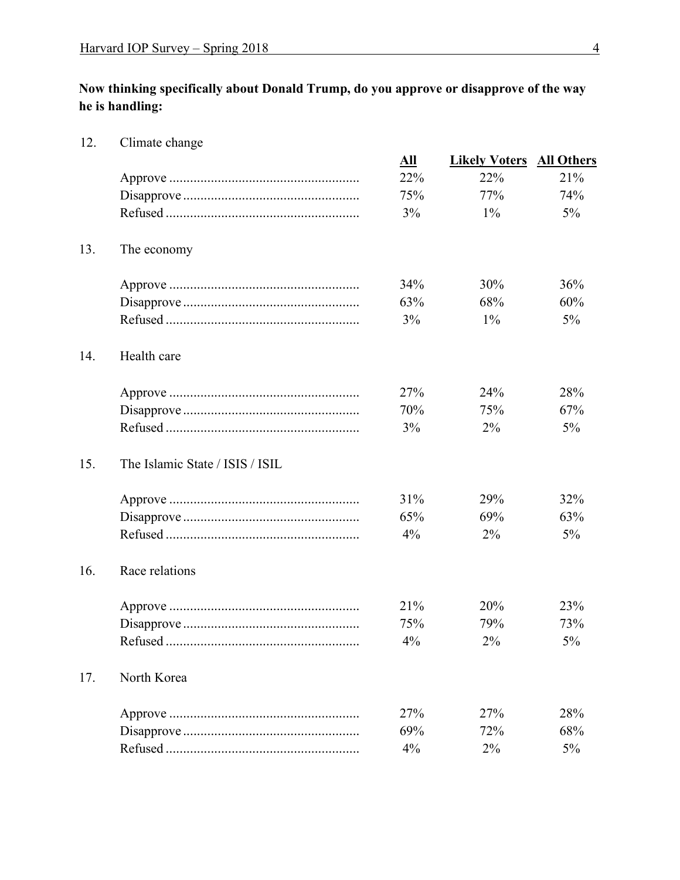12. Climate change

**Now thinking specifically about Donald Trump, do you approve or disapprove of the way he is handling:**

**All Likely Voters All Others** Approve ....................................................... 22% 22% 21% Disapprove ................................................... 75% 77% 74% Refused ........................................................ 3% 1% 5% 13. The economy Approve ....................................................... 34% 30% 36% Disapprove ................................................... 63% 68% 60% Refused ........................................................ 3% 1% 5% 14. Health care Approve ....................................................... 27% 24% 28% Disapprove ................................................... 70% 75% 67% Refused ........................................................ 3% 2% 5% 15. The Islamic State / ISIS / ISIL Approve ....................................................... 31% 29% 32% Disapprove ................................................... 65% 69% 63% Refused ........................................................ 4% 2% 5% 16. Race relations Approve ....................................................... 21% 20% 23% Disapprove ................................................... 75% 79% 73% Refused ........................................................ 4% 2% 5% 17. North Korea Approve ....................................................... 27% 27% 28% Disapprove ................................................... 69% 72% 68% Refused ........................................................ 4% 2% 5%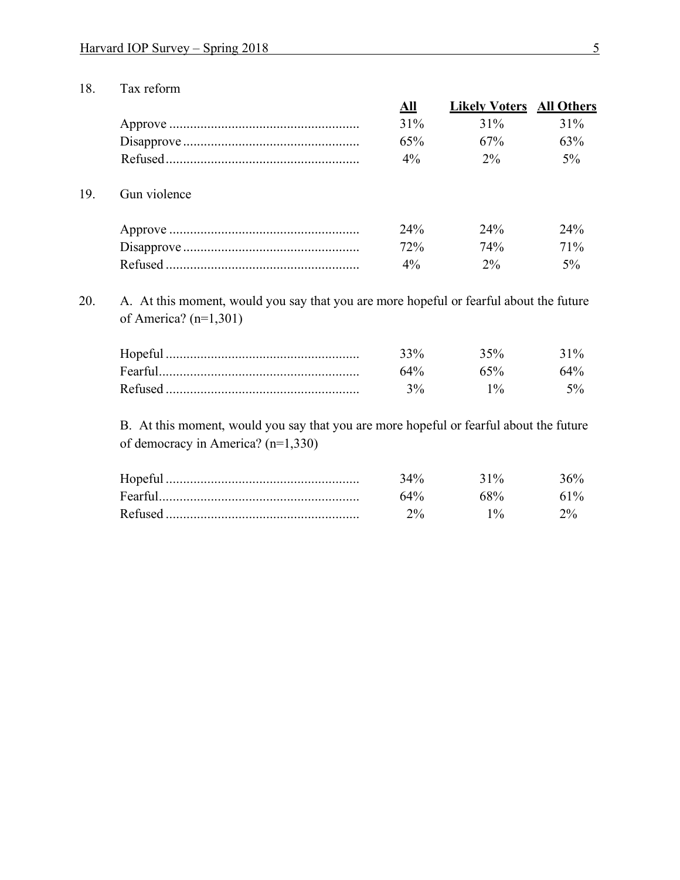18. Tax reform

|     |              | All   | <b>Likely Voters</b> All Others |       |
|-----|--------------|-------|---------------------------------|-------|
|     |              | 31%   | $31\%$                          | 31%   |
|     |              | 65%   | 67%                             | 63%   |
|     |              | $4\%$ | $2\%$                           | $5\%$ |
| 19. | Gun violence |       |                                 |       |
|     |              | 24%   | $24\%$                          | 24%   |
|     |              | 72%   | 74%                             | 71%   |
|     |              | $4\%$ | $2\%$                           | 5%    |

20. A. At this moment, would you say that you are more hopeful or fearful about the future of America? (n=1,301)

| Hopefu  | 250/ | $31\%$            |
|---------|------|-------------------|
| Fearful |      |                   |
| Refuseo |      | $\sigma_{\alpha}$ |

B. At this moment, would you say that you are more hopeful or fearful about the future of democracy in America? (n=1,330)

| Hopeful |     | 31%      |     |
|---------|-----|----------|-----|
| Fearfu  | 64% |          | 61% |
| Refused |     | $10_{0}$ |     |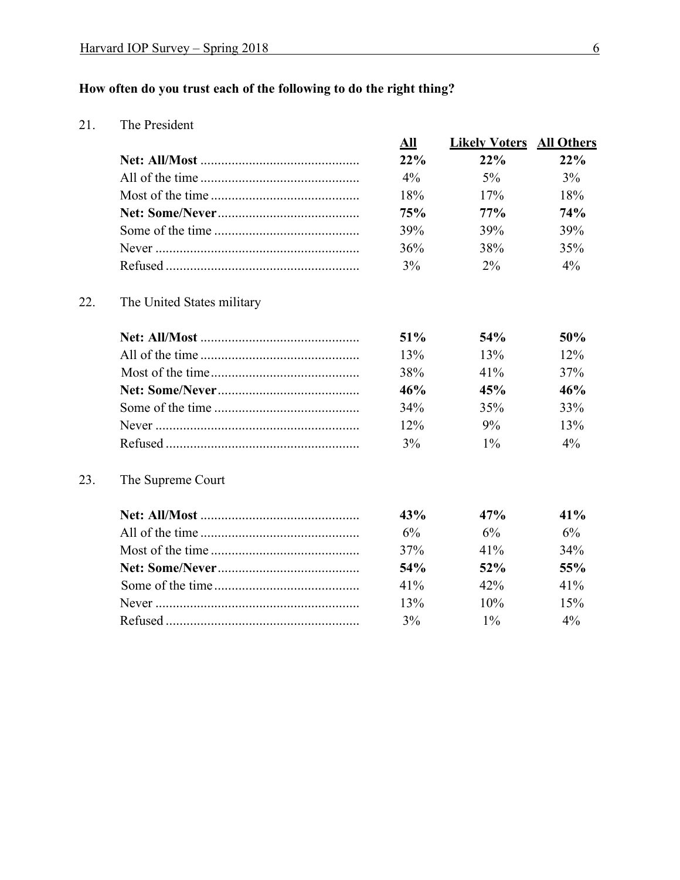## **How often do you trust each of the following to do the right thing?**

21. The President

|     |                            | All | <b>Likely Voters</b> | <b>All Others</b> |
|-----|----------------------------|-----|----------------------|-------------------|
|     |                            | 22% | 22%                  | 22%               |
|     |                            | 4%  | 5%                   | 3%                |
|     |                            | 18% | 17%                  | 18%               |
|     |                            | 75% | 77%                  | 74%               |
|     |                            | 39% | 39%                  | 39%               |
|     |                            | 36% | 38%                  | 35%               |
|     |                            | 3%  | $2\%$                | 4%                |
| 22. | The United States military |     |                      |                   |
|     |                            | 51% | 54%                  | 50%               |
|     |                            | 13% | 13%                  | 12%               |
|     |                            | 38% | 41%                  | 37%               |
|     |                            | 46% | 45%                  | 46%               |
|     |                            | 34% | 35%                  | 33%               |
|     |                            | 12% | 9%                   | 13%               |
|     |                            | 3%  | $1\%$                | $4\%$             |
| 23. | The Supreme Court          |     |                      |                   |
|     |                            | 43% | 47%                  | 41%               |
|     |                            | 6%  | 6%                   | 6%                |
|     |                            | 37% | 41%                  | 34%               |
|     |                            | 54% | 52%                  | 55%               |
|     |                            | 41% | 42%                  | 41%               |
|     |                            | 13% | 10%                  | 15%               |
|     |                            | 3%  | $1\%$                | 4%                |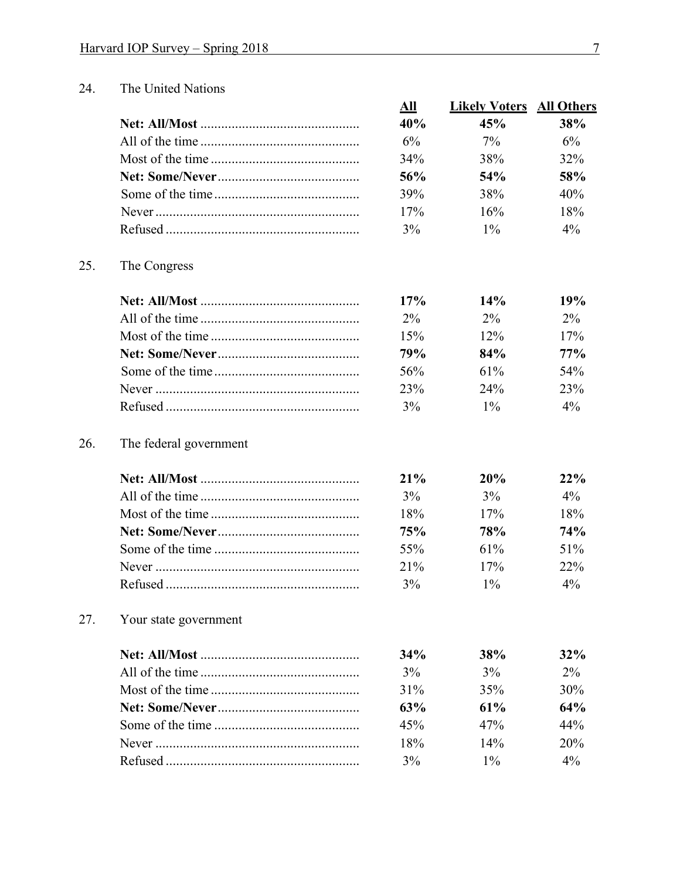#### 24. The United Nations

|     |                        | <u>All</u> | <b>Likely Voters</b> | <b>All Others</b> |
|-----|------------------------|------------|----------------------|-------------------|
|     |                        | 40%        | 45%                  | 38%               |
|     |                        | 6%         | 7%                   | 6%                |
|     |                        | 34%        | 38%                  | 32%               |
|     |                        | 56%        | 54%                  | 58%               |
|     |                        | 39%        | 38%                  | 40%               |
|     |                        | 17%        | 16%                  | 18%               |
|     |                        | 3%         | $1\%$                | $4\%$             |
| 25. | The Congress           |            |                      |                   |
|     |                        | 17%        | 14%                  | 19%               |
|     |                        | 2%         | $2\%$                | $2\%$             |
|     |                        | 15%        | 12%                  | 17%               |
|     |                        | 79%        | 84%                  | 77%               |
|     |                        | 56%        | 61%                  | 54%               |
|     |                        | 23%        | 24%                  | 23%               |
|     |                        | 3%         | $1\%$                | $4\%$             |
| 26. | The federal government |            |                      |                   |
|     |                        | 21%        | 20%                  | 22%               |
|     |                        | 3%         | 3%                   | $4\%$             |
|     |                        | 18%        | 17%                  | 18%               |
|     |                        | 75%        | 78%                  | 74%               |
|     |                        | 55%        | 61%                  | 51%               |
|     |                        | 21%        | 17%                  | 22%               |
|     |                        | 3%         | $1\%$                | 4%                |
| 27. | Your state government  |            |                      |                   |
|     |                        | 34%        | 38%                  | 32%               |
|     |                        | 3%         | 3%                   | $2\%$             |
|     |                        | 31%        | 35%                  | 30%               |
|     |                        | 63%        | 61%                  | 64%               |
|     |                        | 45%        | 47%                  | 44%               |
|     |                        | 18%        | 14%                  | 20%               |
|     |                        | 3%         | $1\%$                | $4\%$             |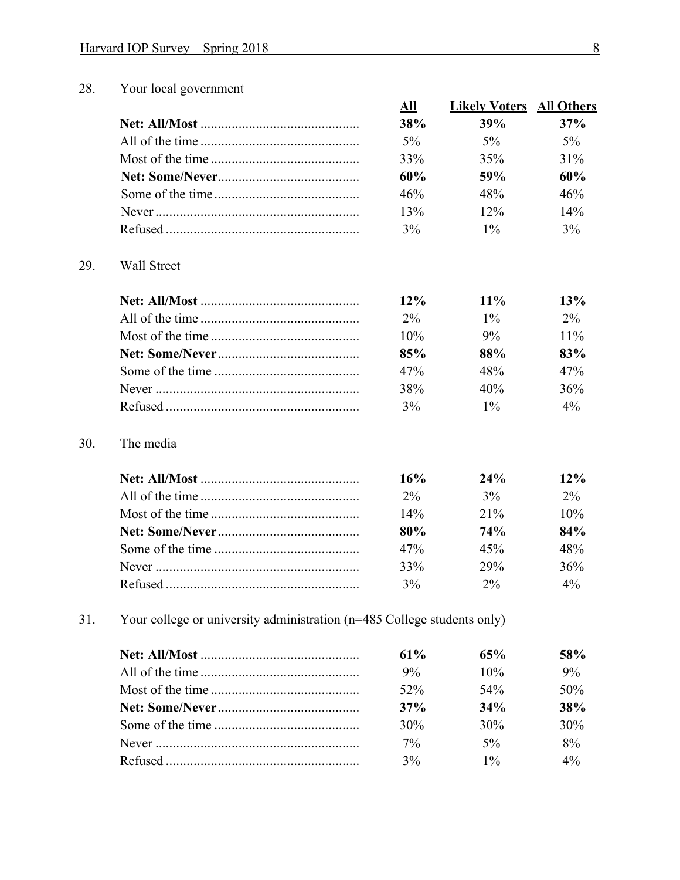#### 28. Your local government

|                    | All          | <b>Likely Voters</b> | <b>All Others</b> |
|--------------------|--------------|----------------------|-------------------|
|                    | 38%          | 39%                  | 37%               |
|                    | 5%           | $5\%$                | $5\%$             |
|                    | 33%          | 35%                  | 31%               |
|                    | 60%          | 59%                  | 60%               |
|                    | 46%          | 48%                  | 46%               |
|                    | 13%          | 12%                  | 14%               |
|                    | 3%           | $1\%$                | 3%                |
|                    |              |                      |                   |
|                    |              |                      |                   |
|                    | 12%          | $11\%$               | 13%               |
|                    | $2\%$<br>10% | $1\%$<br>9%          | $2\%$<br>$11\%$   |
|                    | 85%          | 88%                  | 83%               |
| <b>Wall Street</b> | 47%          | 48%                  | 47%               |
|                    | 38%          | 40%                  | 36%               |

#### $30.$ The media

29.

| 16%    | 24%    | $12\%$ |
|--------|--------|--------|
| $2\%$  | $3\%$  | $2\%$  |
| $14\%$ | $21\%$ | $10\%$ |
| 80%    | 74%    | 84%    |
| 47%    | 45%    | 48%    |
| 33%    | 29%    | 36%    |
| 3%     | $2\%$  | $4\%$  |

 $31.$ Your college or university administration (n=485 College students only)

| $61\%$ | 65%    | 58%   |
|--------|--------|-------|
| $9\%$  | $10\%$ | $9\%$ |
| $52\%$ | $54\%$ | 50%   |
| 37%    | 34%    | 38%   |
| 30%    | 30%    | 30%   |
| $7\%$  | $5\%$  | $8\%$ |
| $3\%$  | $1\%$  | $4\%$ |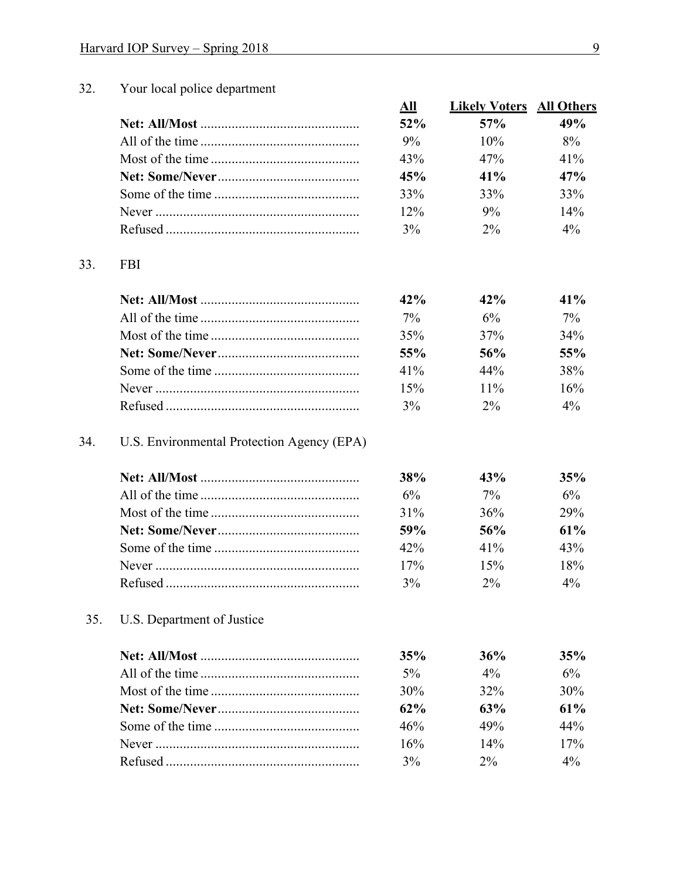#### $32.$ Your local police department

| All    | <b>Likely Voters</b> All Others |        |
|--------|---------------------------------|--------|
| 52%    | $57\%$                          | 49%    |
| $9\%$  | $10\%$                          | $8\%$  |
| 43%    | 47%                             | $41\%$ |
| 45%    | $41\%$                          | 47%    |
| 33%    | 33%                             | 33%    |
| $12\%$ | $9\%$                           | $14\%$ |
| $3\%$  | $2\%$                           | $4\%$  |

#### 33. **FBI**

| 42%    | $42\%$ | 41%    |
|--------|--------|--------|
| $7\%$  | 6%     | 7%     |
| 35%    | 37%    | $34\%$ |
| 55%    | 56%    | 55%    |
| $41\%$ | $44\%$ | 38%    |
| 15%    | $11\%$ | 16%    |
| $3\%$  | $2\%$  | $4\%$  |

#### 34. U.S. Environmental Protection Agency (EPA)

| <b>38%</b> | 43%    | 35%    |
|------------|--------|--------|
| $6\%$      | $7\%$  | 6%     |
| $31\%$     | 36%    | 29%    |
| 59%        | 56%    | $61\%$ |
| 42%        | $41\%$ | 43%    |
| 17%        | 15%    | 18%    |
| $3\%$      | $2\%$  | $4\%$  |

#### 35. U.S. Department of Justice

| 35%    | 36%    | 35%   |
|--------|--------|-------|
| $5\%$  | $4\%$  | $6\%$ |
| 30%    | $32\%$ | 30%   |
| $62\%$ | 63%    | 61%   |
| 46%    | 49%    | 44%   |
| 16%    | $14\%$ | 17%   |
| $3\%$  | $2\%$  | $4\%$ |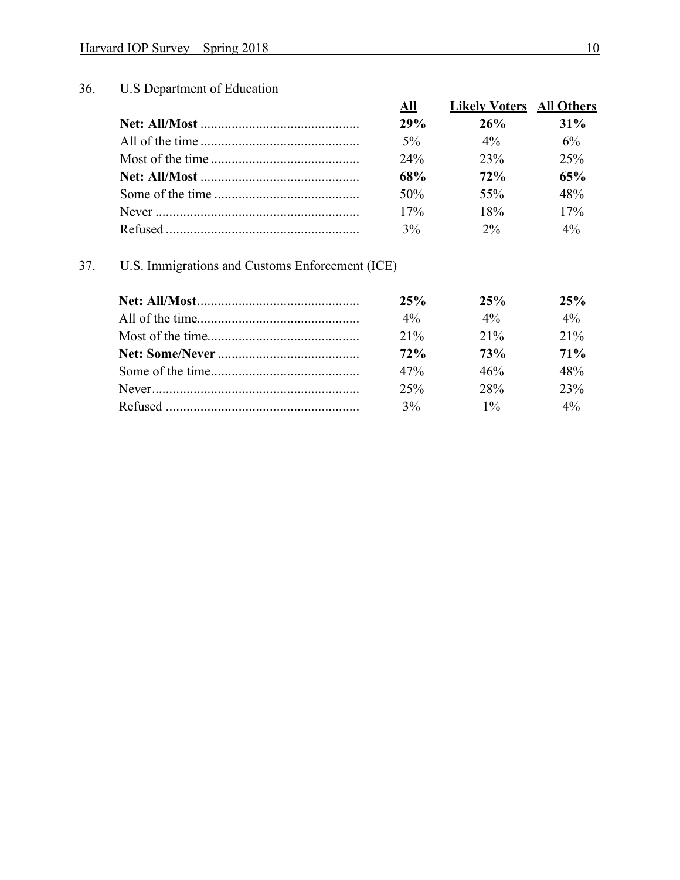## 36. U.S Department of Education

| All   | <b>Likely Voters</b> All Others |        |
|-------|---------------------------------|--------|
| 29%   | 26%                             | $31\%$ |
| $5\%$ | $4\%$                           | 6%     |
| 24%   | 23%                             | 25%    |
| 68%   | 72%                             | 65%    |
| 50%   | 55%                             | 48%    |
| 17%   | 18%                             | 17%    |
| 3%    | $2\%$                           | $4\%$  |

## 37. U.S. Immigrations and Customs Enforcement (ICE)

| 25%    | 25%        | 25%   |
|--------|------------|-------|
| $4\%$  | $4\%$      | $4\%$ |
| $21\%$ | $21\%$     | 21%   |
| 72%    | <b>73%</b> | 71%   |
| 47%    | 46%        | 48%   |
| 25%    | 28%        | 23%   |
| $3\%$  | $1\%$      | $4\%$ |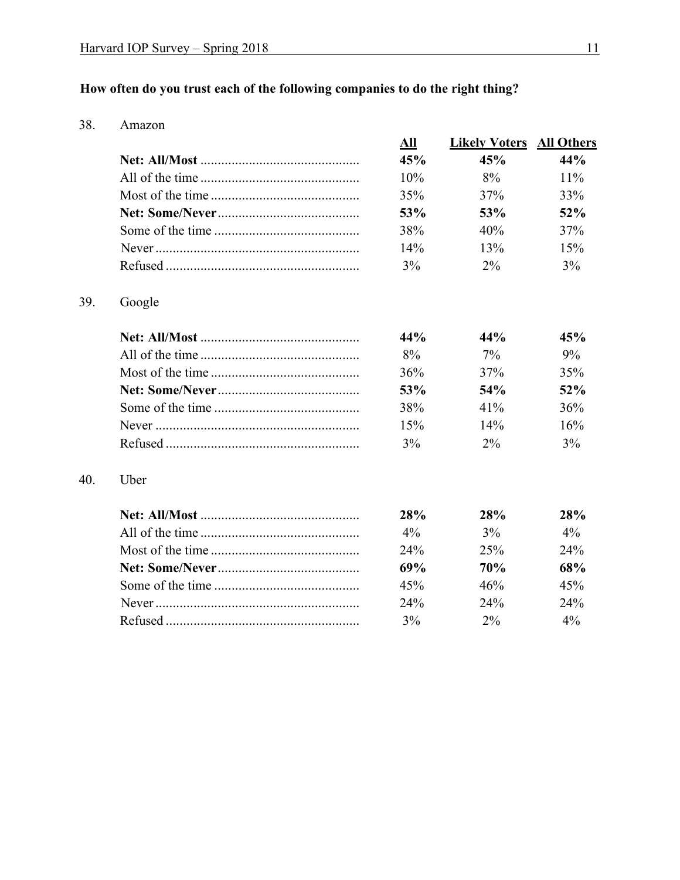## How often do you trust each of the following companies to do the right thing?

38. Amazon

39.

40.

|        | All | <b>Likely Voters</b> | <b>All Others</b> |
|--------|-----|----------------------|-------------------|
|        | 45% | 45%                  | 44%               |
|        | 10% | 8%                   | 11%               |
|        | 35% | 37%                  | 33%               |
|        | 53% | 53%                  | 52%               |
|        | 38% | 40%                  | 37%               |
|        | 14% | 13%                  | 15%               |
|        | 3%  | $2\%$                | 3%                |
| Google |     |                      |                   |
|        | 44% | 44%                  | 45%               |
|        | 8%  | $7\%$                | 9%                |
|        | 36% | 37%                  | 35%               |
|        | 53% | 54%                  | 52%               |
|        | 38% | 41%                  | 36%               |
|        | 15% | 14%                  | 16%               |
|        | 3%  | $2\%$                | 3%                |
| Uber   |     |                      |                   |
|        | 28% | 28%                  | 28%               |
|        | 4%  | 3%                   | $4\%$             |
|        | 24% | 25%                  | 24%               |
|        | 69% | 70%                  | 68%               |
|        | 45% | 46%                  | 45%               |
|        | 24% | 24%                  | 24%               |
|        | 3%  | $2\%$                | $4\%$             |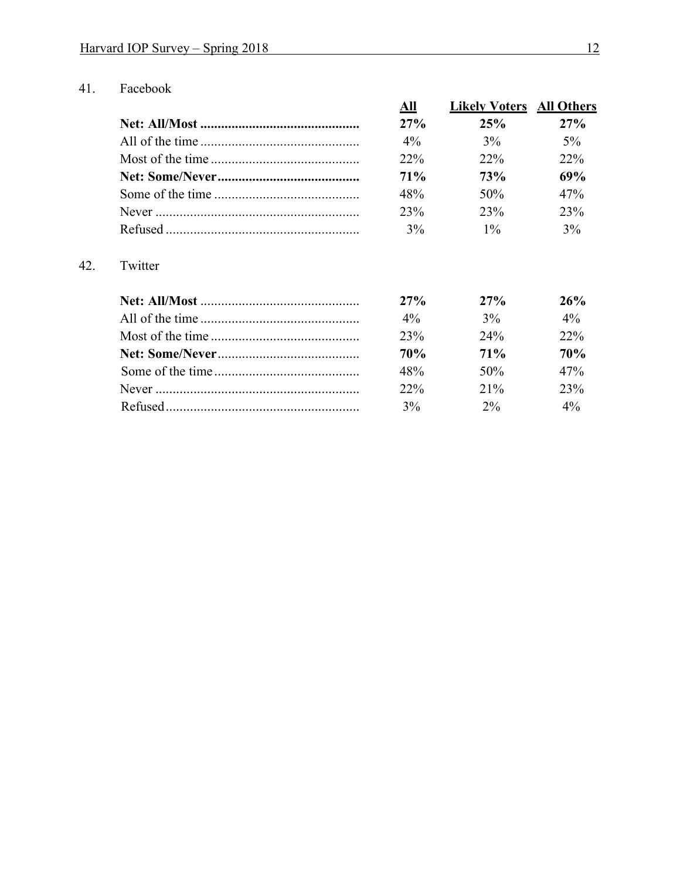#### 41. Facebook

| All    | <b>Likely Voters</b> All Others |       |
|--------|---------------------------------|-------|
| 27%    | 25%                             | 27%   |
| $4\%$  | $3\%$                           | $5\%$ |
| 22%    | $22\%$                          | 22%   |
| $71\%$ | 73%                             | 69%   |
| 48%    | 50%                             | 47%   |
| 23%    | 23%                             | 23%   |
| 3%     | $1\%$                           | 3%    |

### Twitter 42.

| $27\%$     | 27%    | 26%        |
|------------|--------|------------|
| $4\%$      | 3%     | $4\%$      |
| 23%        | $24\%$ | $22\%$     |
| <b>70%</b> | $71\%$ | <b>70%</b> |
| 48%        | $50\%$ | 47%        |
| $22\%$     | $21\%$ | 23%        |
| 3%         | $2\%$  | $4\%$      |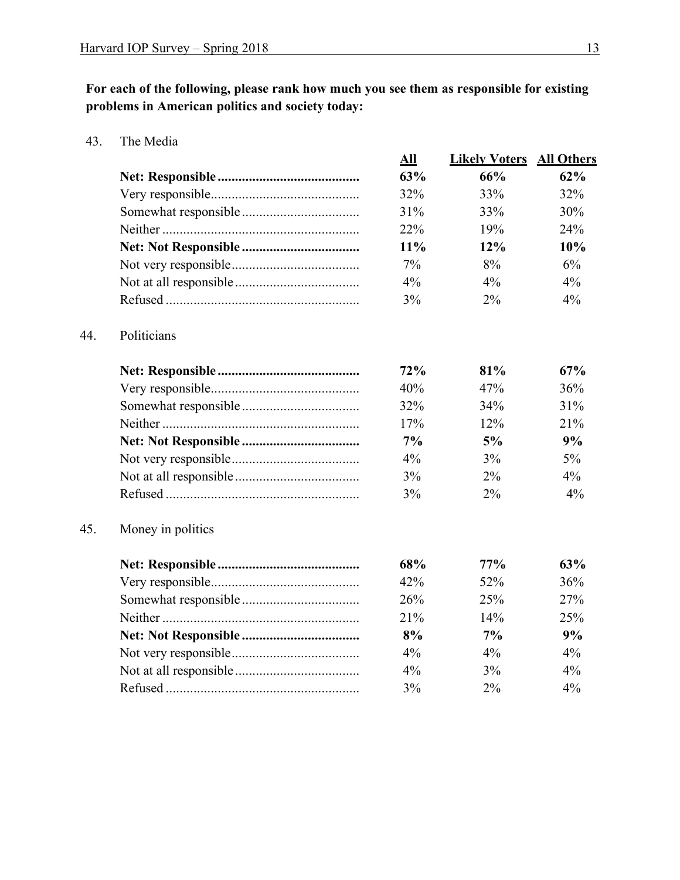**For each of the following, please rank how much you see them as responsible for existing problems in American politics and society today:** 

43. The Media

44. Politicians

 $45.$ 

|                   | All | <b>Likely Voters</b> | <b>All Others</b> |
|-------------------|-----|----------------------|-------------------|
|                   | 63% | 66%                  | 62%               |
|                   | 32% | 33%                  | 32%               |
|                   | 31% | 33%                  | 30%               |
|                   | 22% | 19%                  | 24%               |
|                   | 11% | 12%                  | 10%               |
|                   | 7%  | 8%                   | 6%                |
|                   | 4%  | $4\%$                | 4%                |
|                   | 3%  | 2%                   | 4%                |
| Politicians       |     |                      |                   |
|                   | 72% | 81%                  | 67%               |
|                   | 40% | 47%                  | 36%               |
|                   | 32% | 34%                  | 31%               |
|                   | 17% | 12%                  | 21%               |
|                   | 7%  | 5%                   | 9%                |
|                   | 4%  | 3%                   | $5\%$             |
|                   | 3%  | 2%                   | $4\%$             |
|                   | 3%  | 2%                   | 4%                |
| Money in politics |     |                      |                   |
|                   | 68% | 77%                  | 63%               |
|                   | 42% | 52%                  | 36%               |
|                   | 26% | 25%                  | 27%               |
|                   | 21% | 14%                  | 25%               |
|                   | 8%  | 7%                   | 9%                |
|                   | 4%  | 4%                   | 4%                |
|                   | 4%  | 3%                   | 4%                |
|                   | 3%  | 2%                   | 4%                |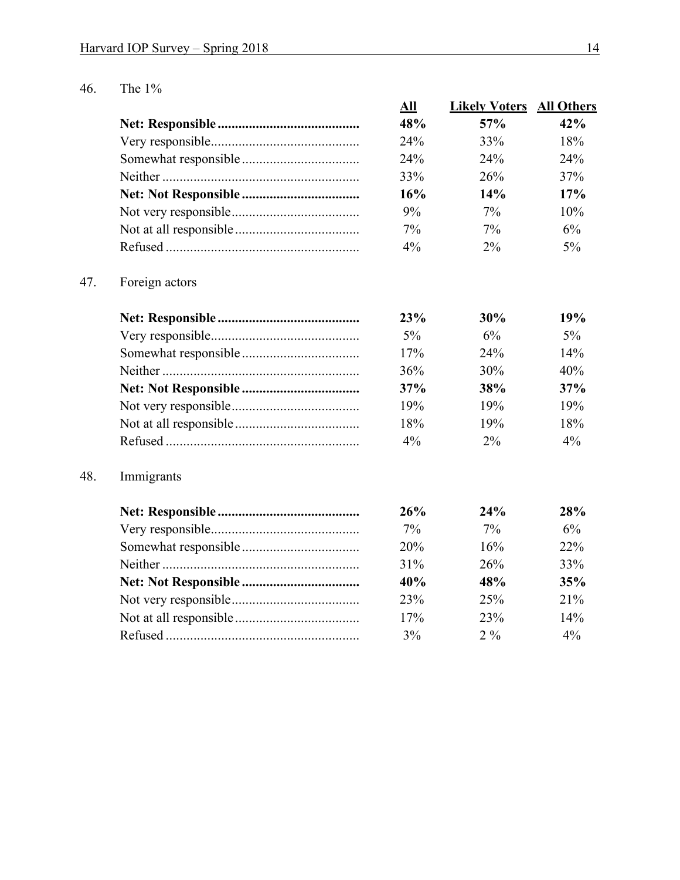## 46. The 1%

| All   | <b>Likely Voters</b> | <b>All Others</b> |
|-------|----------------------|-------------------|
| 48%   | 57%                  | 42%               |
| 24%   | 33%                  | 18%               |
| 24%   | 24%                  | 24%               |
| 33%   | 26%                  | 37%               |
| 16%   | 14%                  | 17%               |
| 9%    | $7\%$                | 10%               |
| $7\%$ | $7\%$                | 6%                |
| $4\%$ | $2\%$                | $5\%$             |
|       |                      |                   |

## 47. Foreign actors

| 23%   | 30%   | 19%    |
|-------|-------|--------|
| 5%    | 6%    | $5\%$  |
| 17%   | 24%   | $14\%$ |
| 36%   | 30%   | 40%    |
| 37%   | 38%   | 37%    |
| 19%   | 19%   | 19%    |
| 18%   | 19%   | 18%    |
| $4\%$ | $2\%$ | $4\%$  |

### 48. Immigrants

| 26%    | 24%              | 28%    |
|--------|------------------|--------|
| $7\%$  | $7\%$            | $6\%$  |
| 20%    | 16%              | $22\%$ |
| $31\%$ | 26%              | 33%    |
| 40%    | 48%              | 35%    |
| 23%    | 25%              | $21\%$ |
| 17%    | 23%              | 14%    |
| $3\%$  | 2.9 <sub>0</sub> | $4\%$  |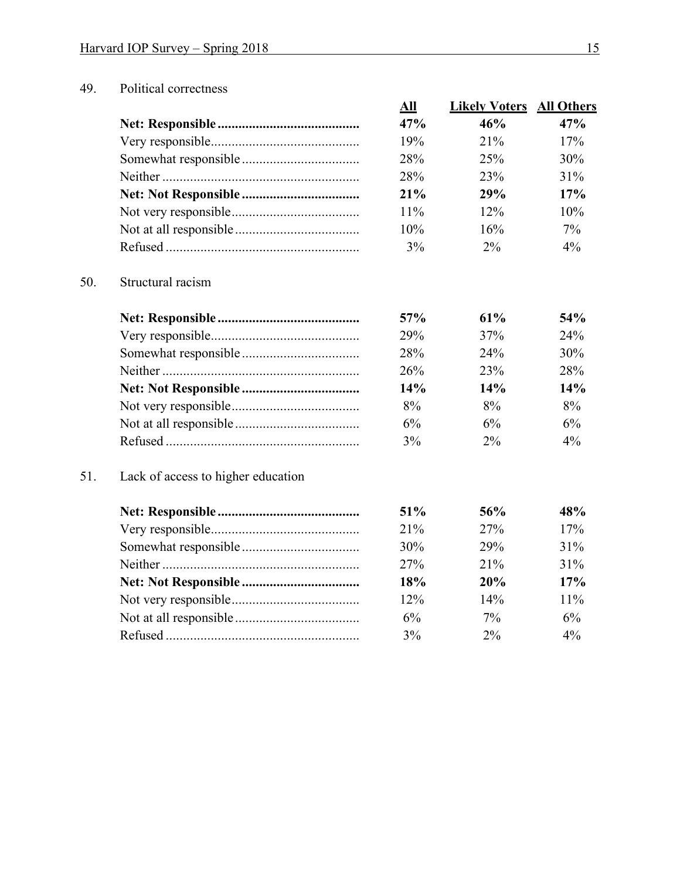### 49. Political correctness

| All        | <b>Likely Voters</b> | <b>All Others</b> |
|------------|----------------------|-------------------|
| 47%        | 46%                  | 47%               |
| 19%        | $21\%$               | 17%               |
| <b>28%</b> | 25%                  | 30%               |
| <b>28%</b> | 23\%                 | 31%               |
| 21%        | 29%                  | 17%               |
| 11%        | $12\%$               | 10%               |
| 10%        | 16%                  | $7\%$             |
| 3%         | $2\%$                | $4\%$             |

### 50. Structural racism

| 57%        | 61%   | 54%   |
|------------|-------|-------|
| <b>29%</b> | 37%   | 24%   |
| <b>28%</b> | 24%   | 30%   |
| 26%        | 23%   | 28%   |
| 14%        | 14%   | 14%   |
| 8%         | $8\%$ | 8%    |
| 6%         | 6%    | 6%    |
| 3%         | $2\%$ | $4\%$ |

### 51. Lack of access to higher education

| 51%   | 56%        | 48%    |
|-------|------------|--------|
| 21%   | 27%        | 17%    |
| 30%   | <b>29%</b> | 31%    |
| 27%   | $21\%$     | $31\%$ |
| 18%   | 20%        | 17%    |
| 12%   | 14%        | $11\%$ |
| 6%    | $7\%$      | 6%     |
| $3\%$ | $2\%$      | $4\%$  |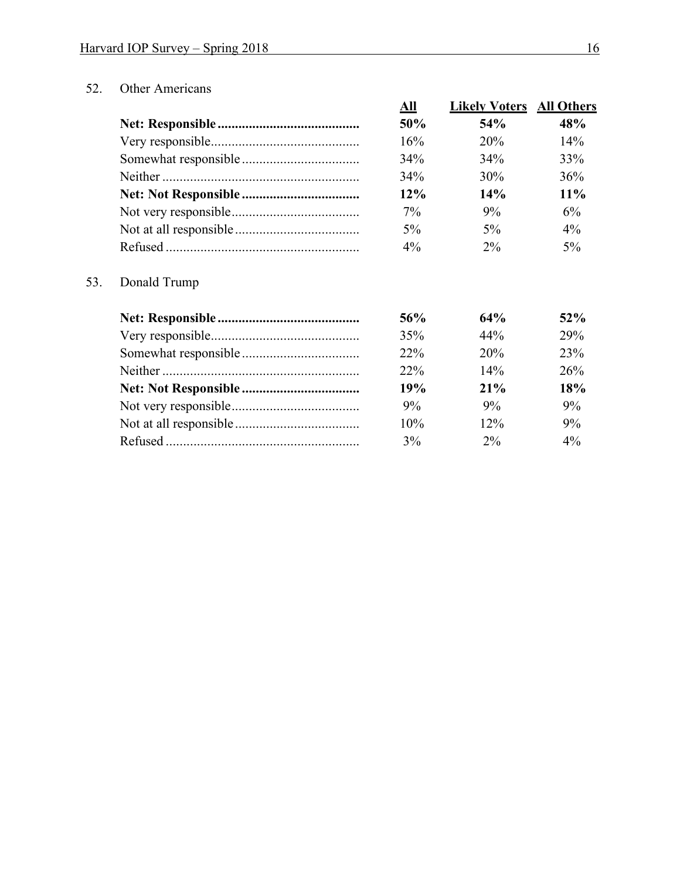### 52. Other Americans

| All   | <b>Likely Voters</b> | <b>All Others</b> |
|-------|----------------------|-------------------|
| 50%   | 54%                  | 48%               |
| 16%   | 20%                  | 14%               |
| 34%   | 34%                  | 33%               |
| 34%   | 30%                  | 36%               |
| 12%   | 14%                  | 11%               |
| $7\%$ | $9\%$                | 6%                |
| $5\%$ | 5%                   | $4\%$             |
| $4\%$ | $2\%$                | 5%                |

## 53. Donald Trump

| 56%    | 64%   | 52%   |
|--------|-------|-------|
| 35%    | 44%   | 29%   |
| $22\%$ | 20%   | 23\%  |
| $22\%$ | 14%   | 26%   |
| 19%    | 21%   | 18%   |
| 9%     | 9%    | $9\%$ |
| 10%    | 12%   | 9%    |
| 3%     | $2\%$ | $4\%$ |